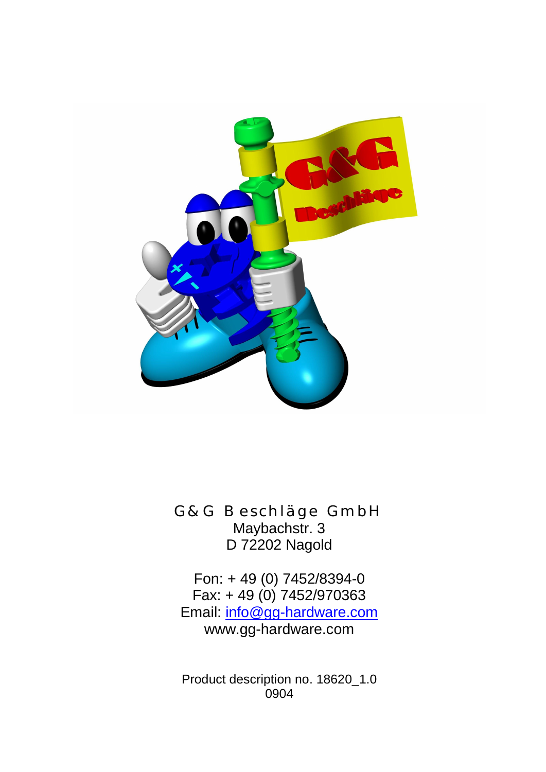

G&G Beschläge GmbH Maybachstr. 3 D 72202 Nagold

Fon: + 49 (0) 7452/8394-0 Fax: + 49 (0) 7452/970363 Email: info@gg-hardware.com www.gg-hardware.com

Product description no. 18620\_1.0 0904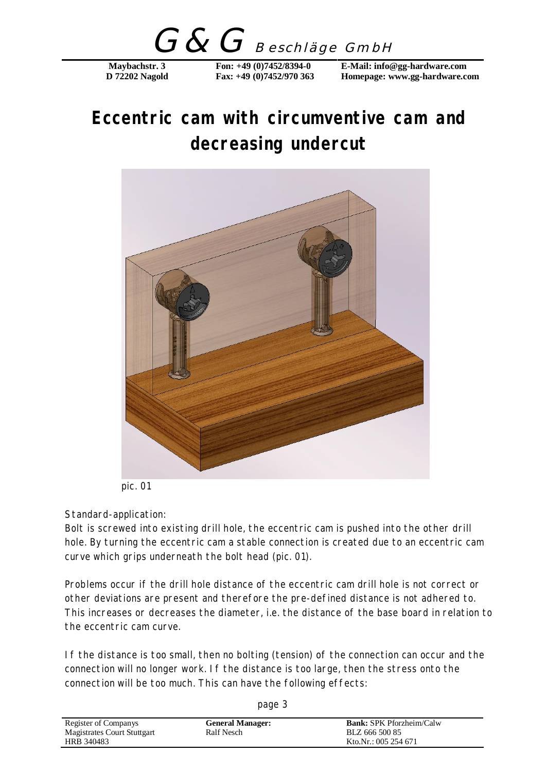G&G Beschläge GmbH

## **Eccentric cam with circumventive cam and decreasing undercut**



pic. 01

## Standard-application:

Bolt is screwed into existing drill hole, the eccentric cam is pushed into the other drill hole. By turning the eccentric cam a stable connection is created due to an eccentric cam curve which grips underneath the bolt head (pic. 01).

Problems occur if the drill hole distance of the eccentric cam drill hole is not correct or other deviations are present and therefore the pre-defined distance is not adhered to. This increases or decreases the diameter, i.e. the distance of the base board in relation to the eccentric cam curve.

If the distance is too small, then no bolting (tension) of the connection can occur and the connection will no longer work. If the distance is too large, then the stress onto the connection will be too much. This can have the following effects:

| Register of Companys        | <b>General Manager:</b> | <b>Bank:</b> SPK Pforzheim/Calw |
|-----------------------------|-------------------------|---------------------------------|
| Magistrates Court Stuttgart | Ralf Nesch              | BLZ 666 500 85                  |
| HRB 340483                  |                         | Kto.Nr.: 005 254 671            |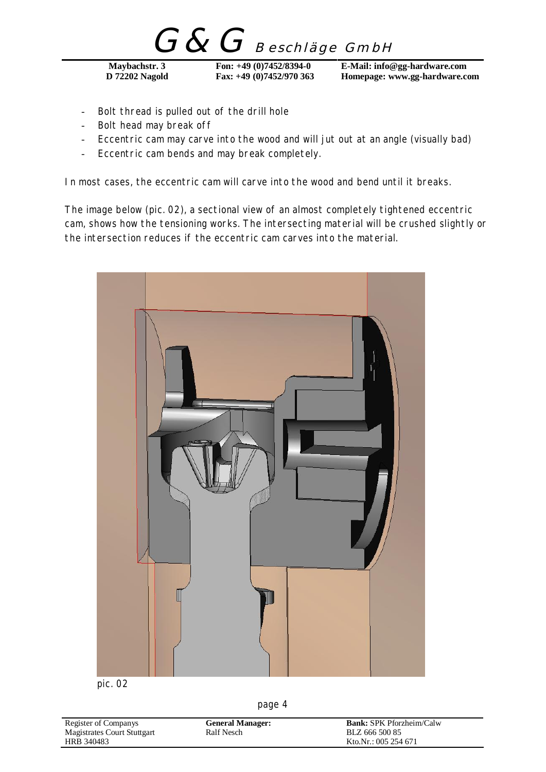G&G Beschläge GmbH

- Bolt thread is pulled out of the drill hole
- Bolt head may break off
- Eccentric cam may carve into the wood and will jut out at an angle (visually bad)
- Eccentric cam bends and may break completely.

In most cases, the eccentric cam will carve into the wood and bend until it breaks.

The image below (pic. 02), a sectional view of an almost completely tightened eccentric cam, shows how the tensioning works. The intersecting material will be crushed slightly or the intersection reduces if the eccentric cam carves into the material.



pic. 02

| Register of Companys        | <b>General Manager:</b> | <b>Bank:</b> SPK Pforzheim/Calw |
|-----------------------------|-------------------------|---------------------------------|
| Magistrates Court Stuttgart | Ralf Nesch              | BLZ 666 500 85                  |
| HRB 340483                  |                         | Kto.Nr.: 005 254 671            |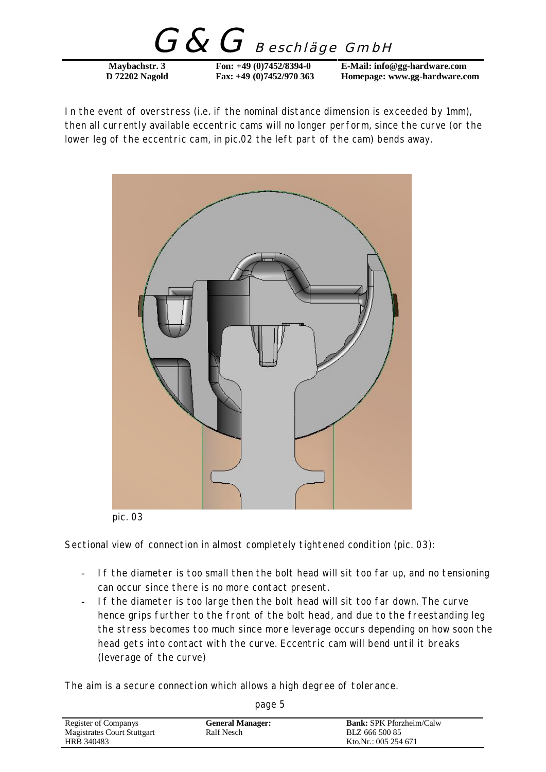$G\&G$  Beschläge GmbH

In the event of overstress (i.e. if the nominal distance dimension is exceeded by 1mm), then all currently available eccentric cams will no longer perform, since the curve (or the lower leg of the eccentric cam, in pic.02 the left part of the cam) bends away.



pic. 03

Sectional view of connection in almost completely tightened condition (pic. 03):

- If the diameter is too small then the bolt head will sit too far up, and no tensioning can occur since there is no more contact present.
- If the diameter is too large then the bolt head will sit too far down. The curve hence grips further to the front of the bolt head, and due to the freestanding leg the stress becomes too much since more leverage occurs depending on how soon the head gets into contact with the curve. Eccentric cam will bend until it breaks (leverage of the curve)

The aim is a secure connection which allows a high degree of tolerance.

| Register of Companys        | <b>General Manager:</b> | <b>Bank:</b> SPK Pforzheim/Calw |
|-----------------------------|-------------------------|---------------------------------|
| Magistrates Court Stuttgart | Ralf Nesch              | BLZ 666 500 85                  |
| HRB 340483                  |                         | Kto.Nr.: 005 254 671            |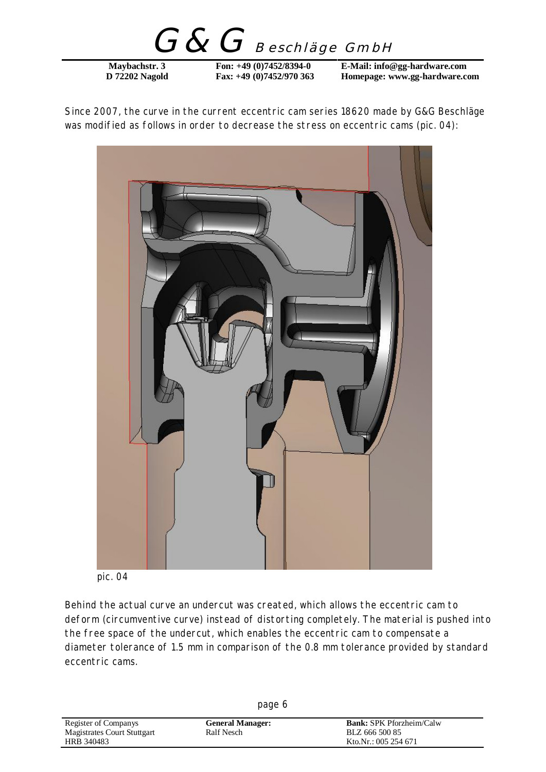G&G Beschläge GmbH

Since 2007, the curve in the current eccentric cam series 18620 made by G&G Beschläge was modified as follows in order to decrease the stress on eccentric cams (pic. 04):



pic. 04

Behind the actual curve an undercut was created, which allows the eccentric cam to deform (circumventive curve) instead of distorting completely. The material is pushed into the free space of the undercut, which enables the eccentric cam to compensate a diameter tolerance of 1.5 mm in comparison of the 0.8 mm tolerance provided by standard eccentric cams.

| page 6                      |                         |                                 |
|-----------------------------|-------------------------|---------------------------------|
| Register of Companys        | <b>General Manager:</b> | <b>Bank:</b> SPK Pforzheim/Calw |
| Magistrates Court Stuttgart | Ralf Nesch              | BLZ 666 500 85                  |
| HRB 340483                  |                         | Kto.Nr.: 005 254 671            |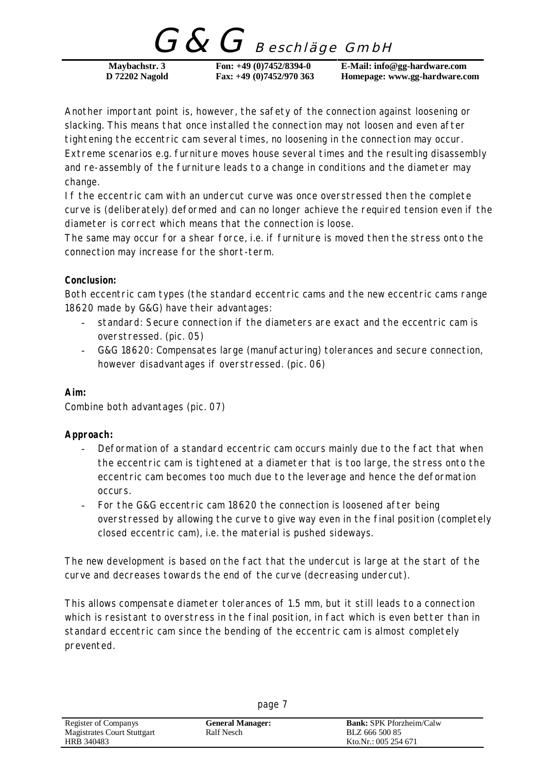$G$ Beschläge GmbH

Another important point is, however, the safety of the connection against loosening or slacking. This means that once installed the connection may not loosen and even after tightening the eccentric cam several times, no loosening in the connection may occur. Extreme scenarios e.g. furniture moves house several times and the resulting disassembly and re-assembly of the furniture leads to a change in conditions and the diameter may change.

If the eccentric cam with an undercut curve was once overstressed then the complete curve is (deliberately) deformed and can no longer achieve the required tension even if the diameter is correct which means that the connection is loose.

The same may occur for a shear force, i.e. if furniture is moved then the stress onto the connection may increase for the short-term.

## **Conclusion:**

Both eccentric cam types (the standard eccentric cams and the new eccentric cams range 18620 made by G&G) have their advantages:

- standard: Secure connection if the diameters are exact and the eccentric cam is overstressed. (pic. 05)
- G&G 18620: Compensates large (manufacturing) tolerances and secure connection, however disadvantages if overstressed. (pic. 06)

**Aim:** 

Combine both advantages (pic. 07)

**Approach:** 

- Deformation of a standard eccentric cam occurs mainly due to the fact that when the eccentric cam is tightened at a diameter that is too large, the stress onto the eccentric cam becomes too much due to the leverage and hence the deformation occurs.
- For the G&G eccentric cam 18620 the connection is loosened after being overstressed by allowing the curve to give way even in the final position (completely closed eccentric cam), i.e. the material is pushed sideways.

The new development is based on the fact that the undercut is large at the start of the curve and decreases towards the end of the curve (decreasing undercut).

This allows compensate diameter tolerances of 1.5 mm, but it still leads to a connection which is resistant to overstress in the final position, in fact which is even better than in standard eccentric cam since the bending of the eccentric cam is almost completely prevented.

| Register of Companys        | <b>General Manager:</b> | <b>Bank:</b> SPK Pforzheim/Calw |
|-----------------------------|-------------------------|---------------------------------|
| Magistrates Court Stuttgart | Ralf Nesch              | BLZ 666 500 85                  |
| HRB 340483                  |                         | Kto.Nr.: 005 254 671            |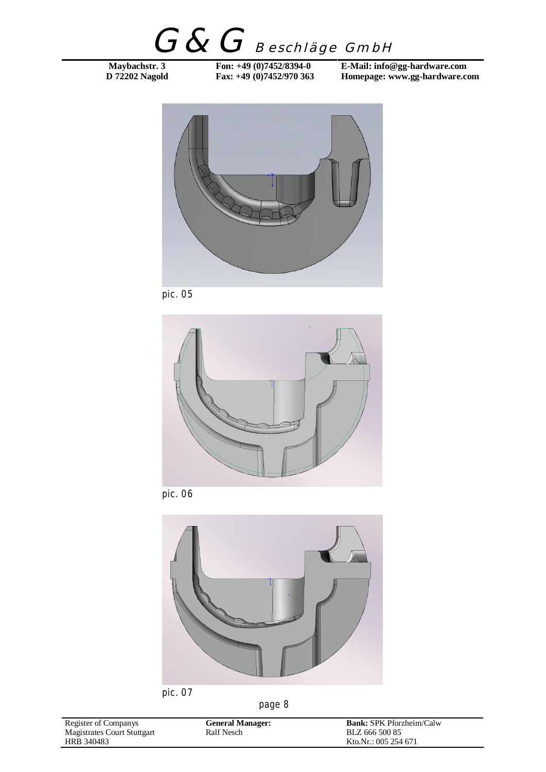G&G Beschläge GmbH

**Maybachstr. 3** Fon: +49 (0)7452/8394-0 E-Mail: info@gg-hardware.com<br>
D 72202 Nagold Fax: +49 (0)7452/970 363 Homepage: www.gg-hardware.com Homepage: www.gg-hardware.com



pic. 05



pic. 06



pic. 07

| Register of Companys        | <b>General Manager:</b> | <b>Bank:</b> SPK Pforzheim/Calw |
|-----------------------------|-------------------------|---------------------------------|
| Magistrates Court Stuttgart | <b>Ralf Nesch</b>       | BLZ 666 500 85                  |
| HRB 340483                  |                         | Kto.Nr.: 005 254 671            |